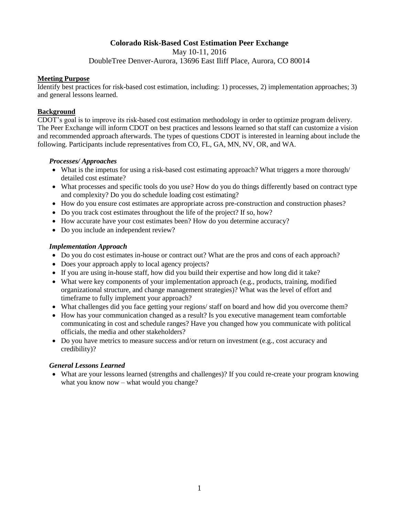# **Colorado Risk-Based Cost Estimation Peer Exchange**

May 10-11, 2016

DoubleTree Denver-Aurora, 13696 East Iliff Place, Aurora, CO 80014

### **Meeting Purpose**

Identify best practices for risk-based cost estimation, including: 1) processes, 2) implementation approaches; 3) and general lessons learned.

### **Background**

CDOT's goal is to improve its risk-based cost estimation methodology in order to optimize program delivery. The Peer Exchange will inform CDOT on best practices and lessons learned so that staff can customize a vision and recommended approach afterwards. The types of questions CDOT is interested in learning about include the following. Participants include representatives from CO, FL, GA, MN, NV, OR, and WA.

### *Processes/ Approaches*

- What is the impetus for using a risk-based cost estimating approach? What triggers a more thorough/ detailed cost estimate?
- What processes and specific tools do you use? How do you do things differently based on contract type and complexity? Do you do schedule loading cost estimating?
- How do you ensure cost estimates are appropriate across pre-construction and construction phases?
- Do you track cost estimates throughout the life of the project? If so, how?
- How accurate have your cost estimates been? How do you determine accuracy?
- Do you include an independent review?

### *Implementation Approach*

- Do you do cost estimates in-house or contract out? What are the pros and cons of each approach?
- Does your approach apply to local agency projects?
- If you are using in-house staff, how did you build their expertise and how long did it take?
- What were key components of your implementation approach (e.g., products, training, modified organizational structure, and change management strategies)? What was the level of effort and timeframe to fully implement your approach?
- What challenges did you face getting your regions/ staff on board and how did you overcome them?
- How has your communication changed as a result? Is you executive management team comfortable communicating in cost and schedule ranges? Have you changed how you communicate with political officials, the media and other stakeholders?
- Do you have metrics to measure success and/or return on investment (e.g., cost accuracy and credibility)?

## *General Lessons Learned*

 What are your lessons learned (strengths and challenges)? If you could re-create your program knowing what you know now – what would you change?